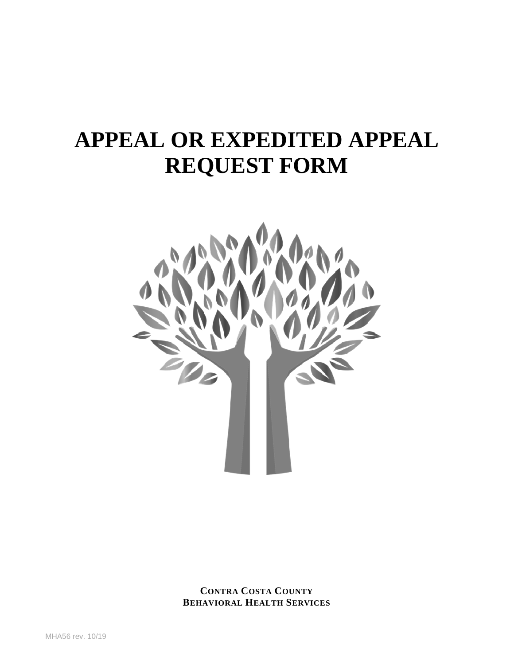# **APPEAL OR EXPEDITED APPEAL REQUEST FORM**



**CONTRA COSTA COUNTY BEHAVIORAL HEALTH SERVICES**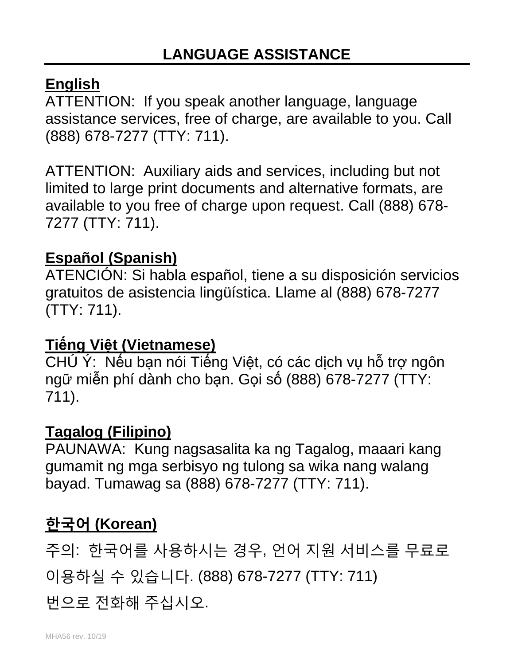#### **English**

ATTENTION: If you speak another language, language assistance services, free of charge, are available to you. Call (888) 678-7277 (TTY: 711).

ATTENTION: Auxiliary aids and services, including but not limited to large print documents and alternative formats, are available to you free of charge upon request. Call (888) 678- 7277 (TTY: 711).

## **Español (Spanish)**

ATENCIÓN: Si habla español, tiene a su disposición servicios gratuitos de asistencia lingüística. Llame al (888) 678-7277 (TTY: 711).

### **Tiếng Việt (Vietnamese)**

CHÚ Ý: Nếu bạn nói Tiếng Việt, có các dịch vụ hỗ trợ ngôn ngữ miễn phí dành cho bạn. Gọi số (888) 678-7277 (TTY: 711).

### **Tagalog (Filipino)**

PAUNAWA: Kung nagsasalita ka ng Tagalog, maaari kang gumamit ng mga serbisyo ng tulong sa wika nang walang bayad. Tumawag sa (888) 678-7277 (TTY: 711).

## **한국어 (Korean)**

주의: 한국어를 사용하시는 경우, 언어 지원 서비스를 무료로 이용하실 수 있습니다. (888) 678-7277 (TTY: 711)

번으로 전화해 주십시오.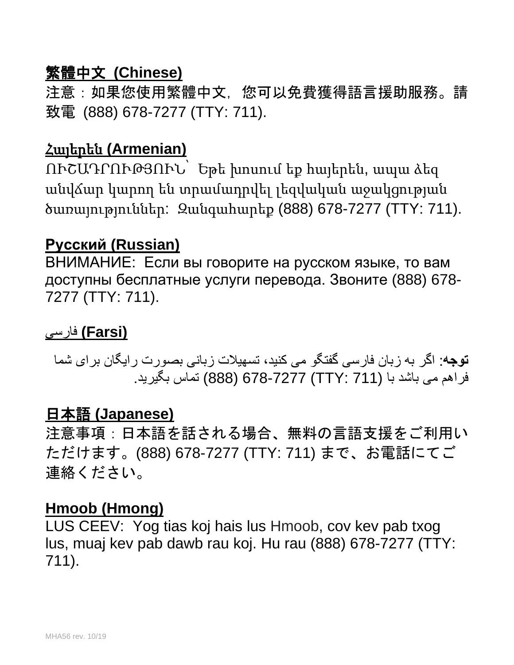### 繁體中文 **(Chinese)**

注意:如果您使用繁體中文,您可以免費獲得語言援助服務。請 致電 (888) 678-7277 (TTY: 711).

#### Հայերեն **(Armenian)**

ՈՒՇԱԴՐՈՒԹՅՈՒՆ՝ Եթե խոսում եք հայերեն, ապա ձեզ անվճար կարող են տրամադրվել լեզվական աջակցության ծառայություններ: Զանգահարեք (888) 678-7277 (TTY: 711).

#### **Русский (Russian)**

ВНИМАНИЕ: Если вы говорите на русском языке, то вам доступны бесплатные услуги перевода. Звоните (888) 678- 7277 (TTY: 711).

#### **(Farsi (**فارسی

**توجھ**: اگر بھ زبان فارسی گفتگو می کنید، تسھیلات زبانی بصورت رایگان برای شما فراھم می باشد با (711 :TTY (678-7277) 888 (تماس بگیرید.

#### 日本語 **(Japanese)**

注意事項:日本語を話される場合、無料の言語支援をご利用い ただけます。(888) 678-7277 (TTY: 711) まで、お電話にてご 連絡ください。

#### **Hmoob (Hmong)**

LUS CEEV: Yog tias koj hais lus Hmoob, cov kev pab txog lus, muaj kev pab dawb rau koj. Hu rau (888) 678-7277 (TTY: 711).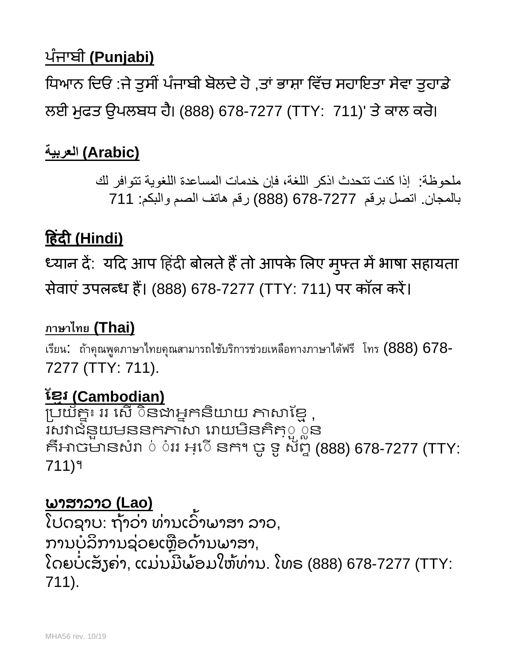## ਪੰ ਜਾਬੀ **(Punjabi)**

ਧਿਆਨ ਦਿਓ :ਜੇ ਤੁਸੀਂ ਪੰਜਾਬੀ ਬੋਲਦੇ ਹੋ ,ਤਾਂ ਭਾਸ਼ਾ ਵਿੱਚ ਸਹਾਇਤਾ ਸੇਵਾ ਤੁਹਾਡੇ ਲਈ ਮੁਫਤ ਉਪਲਬਧ ਹੈ। (888) 678-7277 (TTY: 711)' ਤੇ ਕਾਲ ਕਰੋ।

## **(Arabic (العربیة**

ملحوظة: إذا كنت تتحدث اذكر اللغة، فإن خدمات المساعدة اللغویة تتوافر لك بالمجان. اتصل برقم 678-7277 (888) رقم ھاتف الصم والبكم: 711

## **�हंद� (Hindi)**

ध्यान दे: यदि आप हिंदी बोलते हैं तो आपके लिए मुफ्त में भाषा सहायता सेवाएं उपलब्ध हैं। (888) 678-7277 (TTY: 711) पर कॉल करें।

## **ภาษาไทย (Thai)**

เรียน: ถ้าคุณพูดภาษาไทยคุณสามารถใช้บริการช่วยเหลือทางภาษาได้ฟรี โทร (888) 678- 7277 (TTY: 711).

## <u>ខ្មែរ (Cambodian)</u>

្របយ័គ្នះ ររ សើ ៑នងាអ្នកនិយាយ ភាសាខ្មែ ុ រសវាជំនួយមននកភាសា រោយមីនគិតុួួួន គិអាចមានសំរា ់ ់ររ អ្េ៑េ នក។ ចូ ទូ ស័ព្ទ (888) 678-7277 (TTY: 711)។

### ພາສາລາວ **(Lao)**

ໄປດຊາບ: ຖ້າວ່າ ທ່ານເວົາພາສາ ລາວ, ່ ່ ້ ການບໍລິການຊ່ວຍເຫຼືອດ້ານພາສາ, ໂດຍບໍ່ເສັ້ງຄ່າ, ແມ່ນມີພ້ອມໃຫ້ທ່ານ. ໂທຣ (888) 678-7277 (TTY: ັ ່ ່ ີ ່ 711).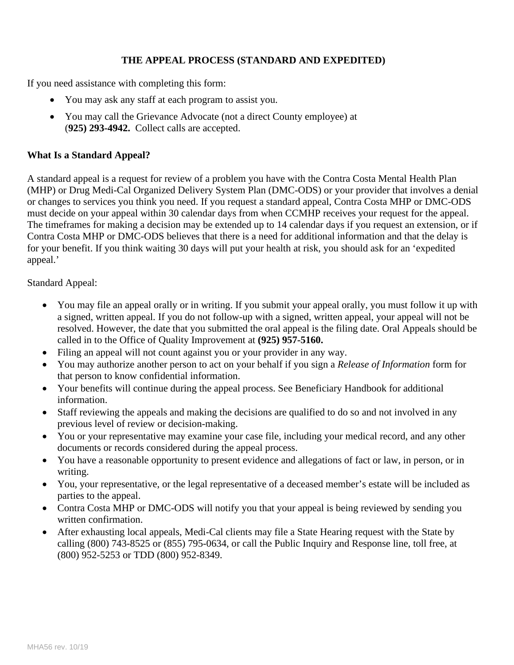#### **THE APPEAL PROCESS (STANDARD AND EXPEDITED)**

If you need assistance with completing this form:

- You may ask any staff at each program to assist you.
- You may call the Grievance Advocate (not a direct County employee) at (**925) 293-4942.** Collect calls are accepted.

#### **What Is a Standard Appeal?**

A standard appeal is a request for review of a problem you have with the Contra Costa Mental Health Plan (MHP) or Drug Medi-Cal Organized Delivery System Plan (DMC-ODS) or your provider that involves a denial or changes to services you think you need. If you request a standard appeal, Contra Costa MHP or DMC-ODS must decide on your appeal within 30 calendar days from when CCMHP receives your request for the appeal. The timeframes for making a decision may be extended up to 14 calendar days if you request an extension, or if Contra Costa MHP or DMC-ODS believes that there is a need for additional information and that the delay is for your benefit. If you think waiting 30 days will put your health at risk, you should ask for an 'expedited appeal.'

Standard Appeal:

- You may file an appeal orally or in writing. If you submit your appeal orally, you must follow it up with a signed, written appeal. If you do not follow-up with a signed, written appeal, your appeal will not be resolved. However, the date that you submitted the oral appeal is the filing date. Oral Appeals should be called in to the Office of Quality Improvement at **(925) 957-5160.**
- Filing an appeal will not count against you or your provider in any way.
- You may authorize another person to act on your behalf if you sign a *Release of Information* form for that person to know confidential information.
- Your benefits will continue during the appeal process. See Beneficiary Handbook for additional information.
- Staff reviewing the appeals and making the decisions are qualified to do so and not involved in any previous level of review or decision-making.
- You or your representative may examine your case file, including your medical record, and any other documents or records considered during the appeal process.
- You have a reasonable opportunity to present evidence and allegations of fact or law, in person, or in writing.
- You, your representative, or the legal representative of a deceased member's estate will be included as parties to the appeal.
- Contra Costa MHP or DMC-ODS will notify you that your appeal is being reviewed by sending you written confirmation.
- After exhausting local appeals, Medi-Cal clients may file a State Hearing request with the State by calling (800) 743-8525 or (855) 795-0634, or call the Public Inquiry and Response line, toll free, at (800) 952-5253 or TDD (800) 952-8349.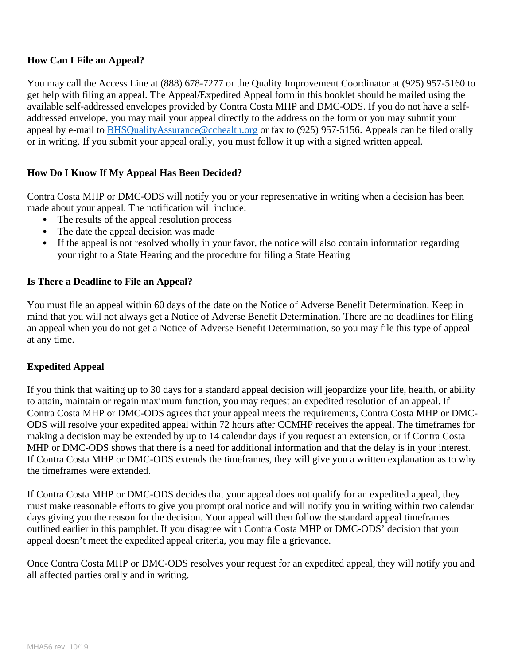#### **How Can I File an Appeal?**

You may call the Access Line at (888) 678-7277 or the Quality Improvement Coordinator at (925) 957-5160 to get help with filing an appeal. The Appeal/Expedited Appeal form in this booklet should be mailed using the available self-addressed envelopes provided by Contra Costa MHP and DMC-ODS. If you do not have a selfaddressed envelope, you may mail your appeal directly to the address on the form or you may submit your appeal by e-mail to [BHSQualityAssurance@cchealth.org](mailto:BHSQualityAssurance@cchealth.org) or fax to (925) 957-5156. Appeals can be filed orally or in writing. If you submit your appeal orally, you must follow it up with a signed written appeal.

#### **How Do I Know If My Appeal Has Been Decided?**

Contra Costa MHP or DMC-ODS will notify you or your representative in writing when a decision has been made about your appeal. The notification will include:

- The results of the appeal resolution process
- The date the appeal decision was made
- If the appeal is not resolved wholly in your favor, the notice will also contain information regarding your right to a State Hearing and the procedure for filing a State Hearing

#### **Is There a Deadline to File an Appeal?**

You must file an appeal within 60 days of the date on the Notice of Adverse Benefit Determination. Keep in mind that you will not always get a Notice of Adverse Benefit Determination. There are no deadlines for filing an appeal when you do not get a Notice of Adverse Benefit Determination, so you may file this type of appeal at any time.

#### **Expedited Appeal**

If you think that waiting up to 30 days for a standard appeal decision will jeopardize your life, health, or ability to attain, maintain or regain maximum function, you may request an expedited resolution of an appeal. If Contra Costa MHP or DMC-ODS agrees that your appeal meets the requirements, Contra Costa MHP or DMC-ODS will resolve your expedited appeal within 72 hours after CCMHP receives the appeal. The timeframes for making a decision may be extended by up to 14 calendar days if you request an extension, or if Contra Costa MHP or DMC-ODS shows that there is a need for additional information and that the delay is in your interest. If Contra Costa MHP or DMC-ODS extends the timeframes, they will give you a written explanation as to why the timeframes were extended.

If Contra Costa MHP or DMC-ODS decides that your appeal does not qualify for an expedited appeal, they must make reasonable efforts to give you prompt oral notice and will notify you in writing within two calendar days giving you the reason for the decision. Your appeal will then follow the standard appeal timeframes outlined earlier in this pamphlet. If you disagree with Contra Costa MHP or DMC-ODS' decision that your appeal doesn't meet the expedited appeal criteria, you may file a grievance.

Once Contra Costa MHP or DMC-ODS resolves your request for an expedited appeal, they will notify you and all affected parties orally and in writing.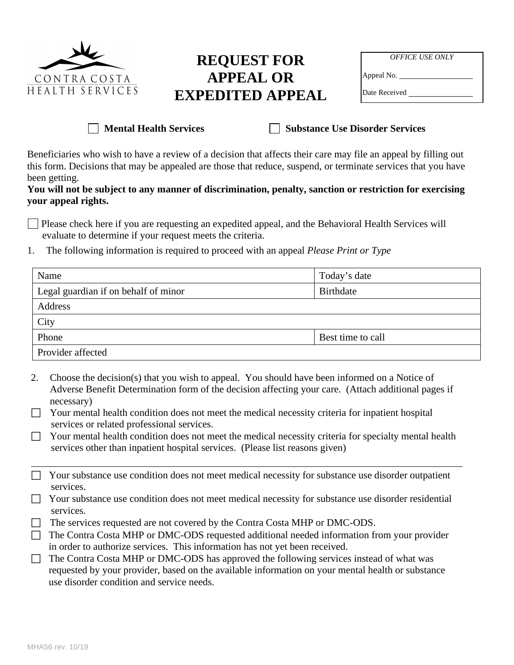

#### **REQUEST FOR APPEAL OR EXPEDITED APPEAL**

| <i><b>OFFICE USE ONLY</b></i> |  |
|-------------------------------|--|
| Appeal No.                    |  |
| Date Received                 |  |

**Mental Health Services Substance Use Disorder Services** 

Beneficiaries who wish to have a review of a decision that affects their care may file an appeal by filling out this form. Decisions that may be appealed are those that reduce, suspend, or terminate services that you have been getting.

#### **You will not be subject to any manner of discrimination, penalty, sanction or restriction for exercising your appeal rights.**

Please check here if you are requesting an expedited appeal, and the Behavioral Health Services will evaluate to determine if your request meets the criteria.

1. The following information is required to proceed with an appeal *Please Print or Type*

| Name                                 | Today's date      |
|--------------------------------------|-------------------|
| Legal guardian if on behalf of minor | Birthdate         |
| Address                              |                   |
| City                                 |                   |
| Phone                                | Best time to call |
| Provider affected                    |                   |

- 2. Choose the decision(s) that you wish to appeal. You should have been informed on a Notice of Adverse Benefit Determination form of the decision affecting your care. (Attach additional pages if necessary)
- $\Box$  Your mental health condition does not meet the medical necessity criteria for inpatient hospital services or related professional services.
- □ Your mental health condition does not meet the medical necessity criteria for specialty mental health services other than inpatient hospital services. (Please list reasons given)
- $\Box$  Your substance use condition does not meet medical necessity for substance use disorder outpatient services.
- $\Box$  Your substance use condition does not meet medical necessity for substance use disorder residential services.
- $\Box$  The services requested are not covered by the Contra Costa MHP or DMC-ODS.
- $\Box$  The Contra Costa MHP or DMC-ODS requested additional needed information from your provider in order to authorize services. This information has not yet been received.
- The Contra Costa MHP or DMC-ODS has approved the following services instead of what was requested by your provider, based on the available information on your mental health or substance use disorder condition and service needs.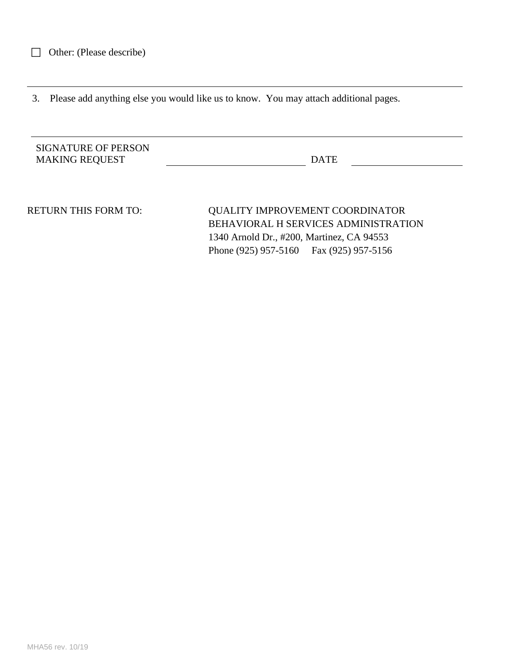3. Please add anything else you would like us to know. You may attach additional pages.

| <b>SIGNATURE OF PERSON</b> |             |  |
|----------------------------|-------------|--|
| <b>MAKING REQUEST</b>      | <b>DATE</b> |  |

RETURN THIS FORM TO: QUALITY IMPROVEMENT COORDINATOR BEHAVIORAL H SERVICES ADMINISTRATION 1340 Arnold Dr., #200, Martinez, CA 94553 Phone (925) 957-5160 Fax (925) 957-5156